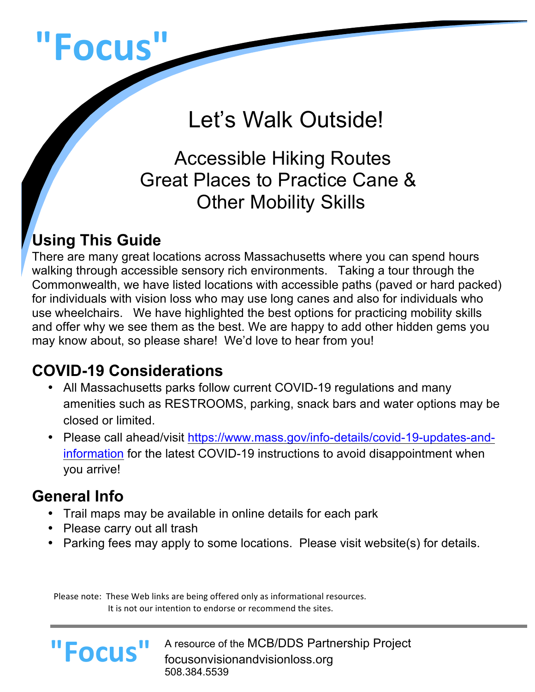# **"Focus"**

# Let's Walk Outside!

 Accessible Hiking Routes Great Places to Practice Cane & Other Mobility Skills

## **Using This Guide**

There are many great locations across Massachusetts where you can spend hours walking through accessible sensory rich environments. Taking a tour through the Commonwealth, we have listed locations with accessible paths (paved or hard packed) for individuals with vision loss who may use long canes and also for individuals who use wheelchairs. We have highlighted the best options for practicing mobility skills and offer why we see them as the best. We are happy to add other hidden gems you may know about, so please share! We'd love to hear from you!

#### **COVID-19 Considerations**

- All Massachusetts parks follow current COVID-19 regulations and many amenities such as RESTROOMS, parking, snack bars and water options may be closed or limited.
- Please call ahead/visit https://www.mass.gov/info-details/covid-19-updates-andinformation for the latest COVID-19 instructions to avoid disappointment when you arrive!

#### **General Info**

**"Focus"**

- Trail maps may be available in online details for each park
- Please carry out all trash
- Parking fees may apply to some locations. Please visit website(s) for details.

Please note: These Web links are being offered only as informational resources. It is not our intention to endorse or recommend the sites.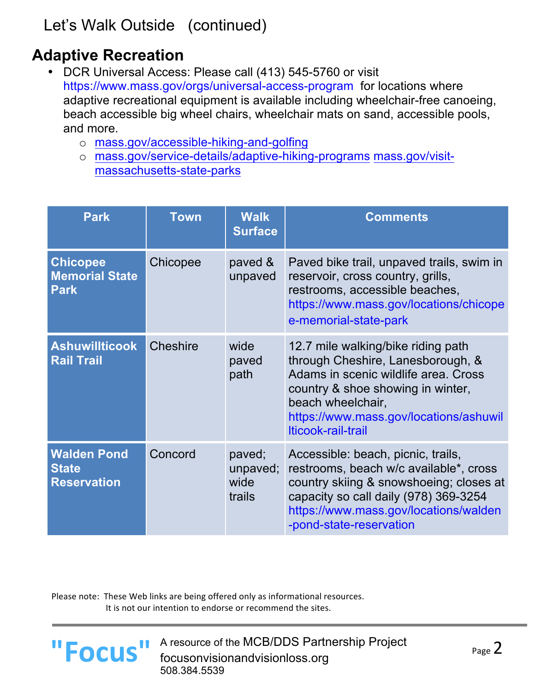### **Adaptive Recreation**

- DCR Universal Access: Please call (413) 545-5760 or visit https://www.mass.gov/orgs/universal-access-programfor locations where adaptive recreational equipment is available including wheelchair-free canoeing, beach accessible big wheel chairs, wheelchair mats on sand, accessible pools, and more.
	- o mass.gov/accessible-hiking-and-golfing
	- o mass.gov/service-details/adaptive-hiking-programs mass.gov/visitmassachusetts-state-parks

| <b>Park</b>                                              | <b>Town</b>     | <b>Walk</b><br><b>Surface</b>        | <b>Comments</b>                                                                                                                                                                                                                           |
|----------------------------------------------------------|-----------------|--------------------------------------|-------------------------------------------------------------------------------------------------------------------------------------------------------------------------------------------------------------------------------------------|
| <b>Chicopee</b><br><b>Memorial State</b><br><b>Park</b>  | Chicopee        | paved &<br>unpaved                   | Paved bike trail, unpaved trails, swim in<br>reservoir, cross country, grills,<br>restrooms, accessible beaches,<br>https://www.mass.gov/locations/chicope<br>e-memorial-state-park                                                       |
| <b>Ashuwillticook</b><br><b>Rail Trail</b>               | <b>Cheshire</b> | wide<br>paved<br>path                | 12.7 mile walking/bike riding path<br>through Cheshire, Lanesborough, &<br>Adams in scenic wildlife area. Cross<br>country & shoe showing in winter,<br>beach wheelchair,<br>https://www.mass.gov/locations/ashuwil<br>Iticook-rail-trail |
| <b>Walden Pond</b><br><b>State</b><br><b>Reservation</b> | Concord         | paved;<br>unpaved;<br>wide<br>trails | Accessible: beach, picnic, trails,<br>restrooms, beach w/c available*, cross<br>country skiing & snowshoeing; closes at<br>capacity so call daily (978) 369-3254<br>https://www.mass.gov/locations/walden<br>-pond-state-reservation      |

Please note: These Web links are being offered only as informational resources. It is not our intention to endorse or recommend the sites.

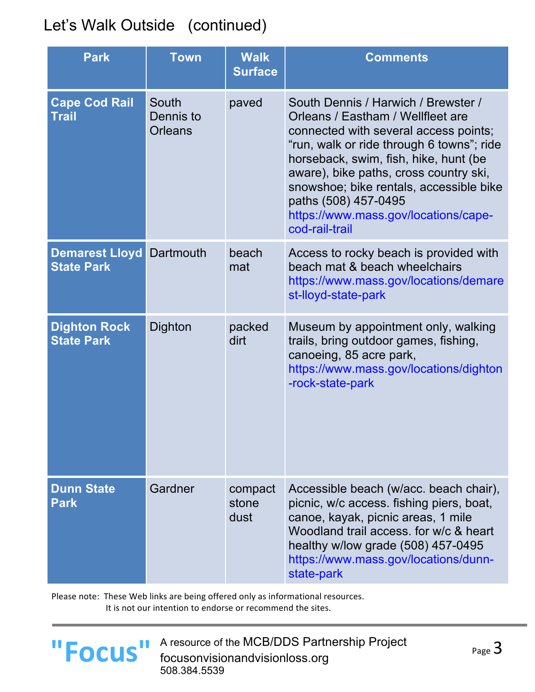| <b>Park</b>                                | <b>Town</b>                          | <b>Walk</b><br><b>Surface</b> | <b>Comments</b>                                                                                                                                                                                                                                                                                                                                                                |
|--------------------------------------------|--------------------------------------|-------------------------------|--------------------------------------------------------------------------------------------------------------------------------------------------------------------------------------------------------------------------------------------------------------------------------------------------------------------------------------------------------------------------------|
| <b>Cape Cod Rail</b><br><b>Trail</b>       | South<br>Dennis to<br><b>Orleans</b> | paved                         | South Dennis / Harwich / Brewster /<br>Orleans / Eastham / Wellfleet are<br>connected with several access points;<br>"run, walk or ride through 6 towns"; ride<br>horseback, swim, fish, hike, hunt (be<br>aware), bike paths, cross country ski,<br>snowshoe; bike rentals, accessible bike<br>paths (508) 457-0495<br>https://www.mass.gov/locations/cape-<br>cod-rail-trail |
| <b>Demarest Lloyd</b><br><b>State Park</b> | Dartmouth                            | beach<br>mat                  | Access to rocky beach is provided with<br>beach mat & beach wheelchairs<br>https://www.mass.gov/locations/demare<br>st-lloyd-state-park                                                                                                                                                                                                                                        |
| <b>Dighton Rock</b><br><b>State Park</b>   | Dighton                              | packed<br>dirt                | Museum by appointment only, walking<br>trails, bring outdoor games, fishing,<br>canoeing, 85 acre park,<br>https://www.mass.gov/locations/dighton<br>-rock-state-park                                                                                                                                                                                                          |
| <b>Dunn State</b><br><b>Park</b>           | Gardner                              | compact<br>stone<br>dust      | Accessible beach (w/acc. beach chair),<br>picnic, w/c access. fishing piers, boat,<br>canoe, kayak, picnic areas, 1 mile<br>Woodland trail access, for w/c & heart<br>healthy w/low grade (508) 457-0495<br>https://www.mass.gov/locations/dunn-<br>state-park                                                                                                                 |

Please note: These Web links are being offered only as informational resources. It is not our intention to endorse or recommend the sites.



**POCUS** A resource of the MCB/DDS Partnership Project page 3<br> **FOCUS** focusonvisionandvisionloss.org 508.384.5539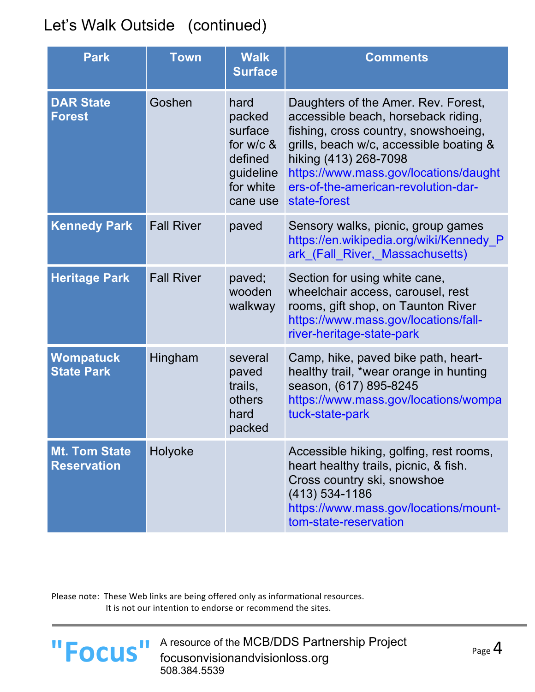| <b>Park</b>                                | <b>Town</b>       | <b>Walk</b><br><b>Surface</b>                                                             | <b>Comments</b>                                                                                                                                                                                                                                                                        |
|--------------------------------------------|-------------------|-------------------------------------------------------------------------------------------|----------------------------------------------------------------------------------------------------------------------------------------------------------------------------------------------------------------------------------------------------------------------------------------|
| <b>DAR State</b><br><b>Forest</b>          | Goshen            | hard<br>packed<br>surface<br>for $w/c$ &<br>defined<br>guideline<br>for white<br>cane use | Daughters of the Amer. Rev. Forest,<br>accessible beach, horseback riding,<br>fishing, cross country, snowshoeing,<br>grills, beach w/c, accessible boating &<br>hiking (413) 268-7098<br>https://www.mass.gov/locations/daught<br>ers-of-the-american-revolution-dar-<br>state-forest |
| <b>Kennedy Park</b>                        | <b>Fall River</b> | paved                                                                                     | Sensory walks, picnic, group games<br>https://en.wikipedia.org/wiki/Kennedy_P<br>ark (Fall River, Massachusetts)                                                                                                                                                                       |
| <b>Heritage Park</b>                       | <b>Fall River</b> | paved;<br>wooden<br>walkway                                                               | Section for using white cane,<br>wheelchair access, carousel, rest<br>rooms, gift shop, on Taunton River<br>https://www.mass.gov/locations/fall-<br>river-heritage-state-park                                                                                                          |
| <b>Wompatuck</b><br><b>State Park</b>      | Hingham           | several<br>paved<br>trails,<br>others<br>hard<br>packed                                   | Camp, hike, paved bike path, heart-<br>healthy trail, *wear orange in hunting<br>season, (617) 895-8245<br>https://www.mass.gov/locations/wompa<br>tuck-state-park                                                                                                                     |
| <b>Mt. Tom State</b><br><b>Reservation</b> | Holyoke           |                                                                                           | Accessible hiking, golfing, rest rooms,<br>heart healthy trails, picnic, & fish.<br>Cross country ski, snowshoe<br>$(413) 534 - 1186$<br>https://www.mass.gov/locations/mount-<br>tom-state-reservation                                                                                |

Please note: These Web links are being offered only as informational resources. It is not our intention to endorse or recommend the sites.

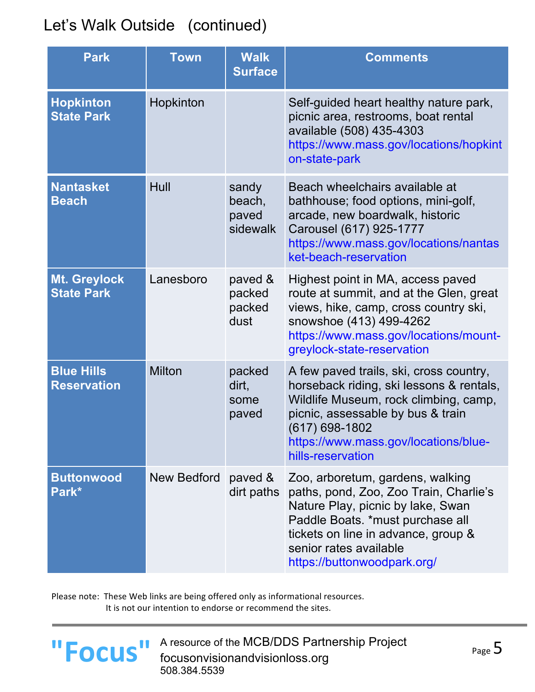| <b>Park</b>                             | Town          | <b>Walk</b><br><b>Surface</b>        | <b>Comments</b>                                                                                                                                                                                                                                     |
|-----------------------------------------|---------------|--------------------------------------|-----------------------------------------------------------------------------------------------------------------------------------------------------------------------------------------------------------------------------------------------------|
| <b>Hopkinton</b><br><b>State Park</b>   | Hopkinton     |                                      | Self-guided heart healthy nature park,<br>picnic area, restrooms, boat rental<br>available (508) 435-4303<br>https://www.mass.gov/locations/hopkint<br>on-state-park                                                                                |
| <b>Nantasket</b><br><b>Beach</b>        | Hull          | sandy<br>beach,<br>paved<br>sidewalk | Beach wheelchairs available at<br>bathhouse; food options, mini-golf,<br>arcade, new boardwalk, historic<br>Carousel (617) 925-1777<br>https://www.mass.gov/locations/nantas<br>ket-beach-reservation                                               |
| Mt. Greylock<br><b>State Park</b>       | Lanesboro     | paved &<br>packed<br>packed<br>dust  | Highest point in MA, access paved<br>route at summit, and at the Glen, great<br>views, hike, camp, cross country ski,<br>snowshoe (413) 499-4262<br>https://www.mass.gov/locations/mount-<br>greylock-state-reservation                             |
| <b>Blue Hills</b><br><b>Reservation</b> | <b>Milton</b> | packed<br>dirt,<br>some<br>paved     | A few paved trails, ski, cross country,<br>horseback riding, ski lessons & rentals,<br>Wildlife Museum, rock climbing, camp,<br>picnic, assessable by bus & train<br>(617) 698-1802<br>https://www.mass.gov/locations/blue-<br>hills-reservation    |
| <b>Buttonwood</b><br>Park*              | New Bedford   | paved &<br>dirt paths                | Zoo, arboretum, gardens, walking<br>paths, pond, Zoo, Zoo Train, Charlie's<br>Nature Play, picnic by lake, Swan<br>Paddle Boats. *must purchase all<br>tickets on line in advance, group &<br>senior rates available<br>https://buttonwoodpark.org/ |

Please note: These Web links are being offered only as informational resources. It is not our intention to endorse or recommend the sites.



**POCUS** A resource of the MCB/DDS Partnership Project page 5<br> **FOCUS** focusonvisionandvisionloss.org 508.384.5539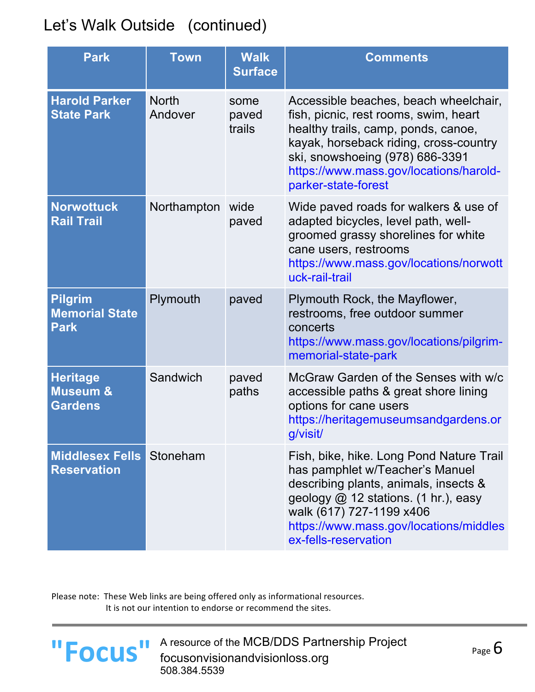| <b>Park</b>                                              | <b>Town</b>             | <b>Walk</b><br><b>Surface</b> | <b>Comments</b>                                                                                                                                                                                                                                                     |
|----------------------------------------------------------|-------------------------|-------------------------------|---------------------------------------------------------------------------------------------------------------------------------------------------------------------------------------------------------------------------------------------------------------------|
| <b>Harold Parker</b><br><b>State Park</b>                | <b>North</b><br>Andover | some<br>paved<br>trails       | Accessible beaches, beach wheelchair,<br>fish, picnic, rest rooms, swim, heart<br>healthy trails, camp, ponds, canoe,<br>kayak, horseback riding, cross-country<br>ski, snowshoeing (978) 686-3391<br>https://www.mass.gov/locations/harold-<br>parker-state-forest |
| <b>Norwottuck</b><br><b>Rail Trail</b>                   | Northampton             | wide<br>paved                 | Wide paved roads for walkers & use of<br>adapted bicycles, level path, well-<br>groomed grassy shorelines for white<br>cane users, restrooms<br>https://www.mass.gov/locations/norwott<br>uck-rail-trail                                                            |
| <b>Pilgrim</b><br><b>Memorial State</b><br><b>Park</b>   | Plymouth                | paved                         | Plymouth Rock, the Mayflower,<br>restrooms, free outdoor summer<br>concerts<br>https://www.mass.gov/locations/pilgrim-<br>memorial-state-park                                                                                                                       |
| <b>Heritage</b><br><b>Museum &amp;</b><br><b>Gardens</b> | Sandwich                | paved<br>paths                | McGraw Garden of the Senses with w/c<br>accessible paths & great shore lining<br>options for cane users<br>https://heritagemuseumsandgardens.or<br>g/visit/                                                                                                         |
| <b>Middlesex Fells</b><br><b>Reservation</b>             | Stoneham                |                               | Fish, bike, hike. Long Pond Nature Trail<br>has pamphlet w/Teacher's Manuel<br>describing plants, animals, insects &<br>geology $@$ 12 stations. (1 hr.), easy<br>walk (617) 727-1199 x406<br>https://www.mass.gov/locations/middles<br>ex-fells-reservation        |

Please note: These Web links are being offered only as informational resources. It is not our intention to endorse or recommend the sites.

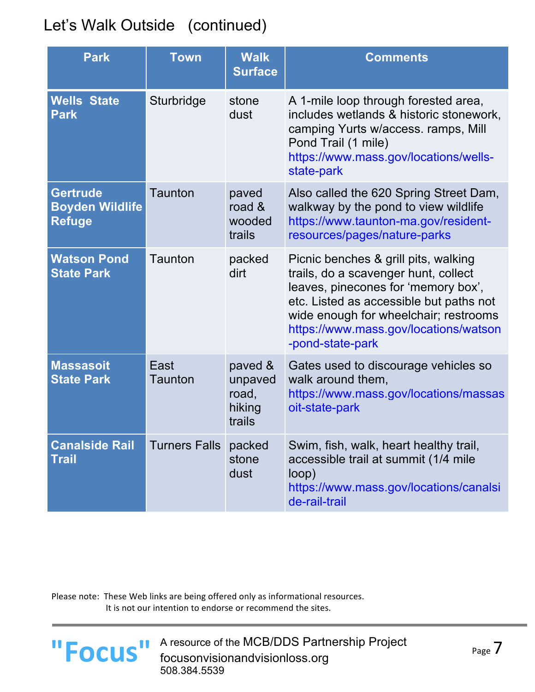| <b>Park</b>                                                | <b>Town</b>          | <b>Walk</b><br><b>Surface</b>                   | <b>Comments</b>                                                                                                                                                                                                                                                      |
|------------------------------------------------------------|----------------------|-------------------------------------------------|----------------------------------------------------------------------------------------------------------------------------------------------------------------------------------------------------------------------------------------------------------------------|
| <b>Wells State</b><br><b>Park</b>                          | Sturbridge           | stone<br>dust                                   | A 1-mile loop through forested area,<br>includes wetlands & historic stonework,<br>camping Yurts w/access. ramps, Mill<br>Pond Trail (1 mile)<br>https://www.mass.gov/locations/wells-<br>state-park                                                                 |
| <b>Gertrude</b><br><b>Boyden Wildlife</b><br><b>Refuge</b> | Taunton              | paved<br>road $\&$<br>wooded<br>trails          | Also called the 620 Spring Street Dam,<br>walkway by the pond to view wildlife<br>https://www.taunton-ma.gov/resident-<br>resources/pages/nature-parks                                                                                                               |
| <b>Watson Pond</b><br><b>State Park</b>                    | Taunton              | packed<br>dirt                                  | Picnic benches & grill pits, walking<br>trails, do a scavenger hunt, collect<br>leaves, pinecones for 'memory box',<br>etc. Listed as accessible but paths not<br>wide enough for wheelchair; restrooms<br>https://www.mass.gov/locations/watson<br>-pond-state-park |
| <b>Massasoit</b><br><b>State Park</b>                      | East<br>Taunton      | paved &<br>unpaved<br>road,<br>hiking<br>trails | Gates used to discourage vehicles so<br>walk around them,<br>https://www.mass.gov/locations/massas<br>oit-state-park                                                                                                                                                 |
| <b>Canalside Rail</b><br><b>Trail</b>                      | <b>Turners Falls</b> | packed<br>stone<br>dust                         | Swim, fish, walk, heart healthy trail,<br>accessible trail at summit (1/4 mile<br>loop)<br>https://www.mass.gov/locations/canalsi<br>de-rail-trail                                                                                                                   |

Please note: These Web links are being offered only as informational resources. It is not our intention to endorse or recommend the sites.